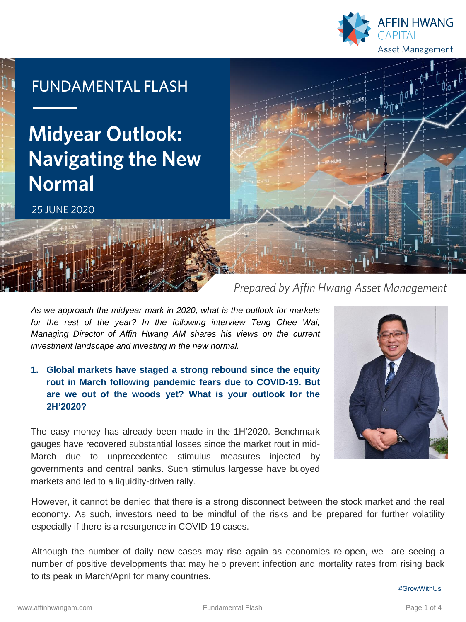

## **FUNDAMENTAL FLASH**

# **Midyear Outlook: Navigating the New Normal**

25 JUNF 2020

### Prepared by Affin Hwang Asset Management

*As we approach the midyear mark in 2020, what is the outlook for markets for the rest of the year? In the following interview Teng Chee Wai, Managing Director of Affin Hwang AM shares his views on the current investment landscape and investing in the new normal.*

**1. Global markets have staged a strong rebound since the equity rout in March following pandemic fears due to COVID-19. But are we out of the woods yet? What is your outlook for the 2H'2020?**

The easy money has already been made in the 1H'2020. Benchmark gauges have recovered substantial losses since the market rout in mid-March due to unprecedented stimulus measures injected by governments and central banks. Such stimulus largesse have buoyed markets and led to a liquidity-driven rally.



However, it cannot be denied that there is a strong disconnect between the stock market and the real economy. As such, investors need to be mindful of the risks and be prepared for further volatility especially if there is a resurgence in COVID-19 cases.

Although the number of daily new cases may rise again as economies re-open, we are seeing a number of positive developments that may help prevent infection and mortality rates from rising back to its peak in March/April for many countries.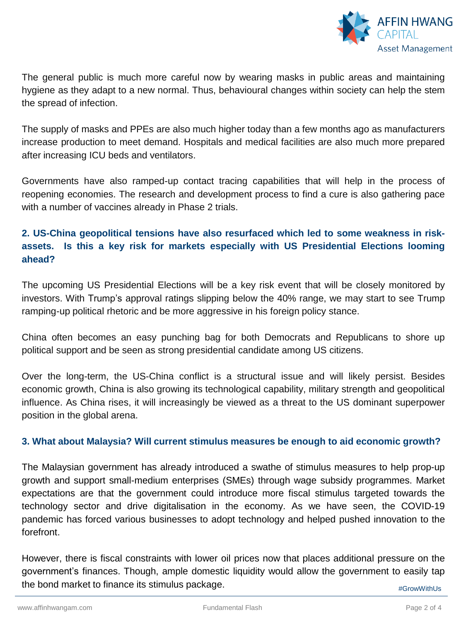

The general public is much more careful now by wearing masks in public areas and maintaining hygiene as they adapt to a new normal. Thus, behavioural changes within society can help the stem the spread of infection.

The supply of masks and PPEs are also much higher today than a few months ago as manufacturers increase production to meet demand. Hospitals and medical facilities are also much more prepared after increasing ICU beds and ventilators.

Governments have also ramped-up contact tracing capabilities that will help in the process of reopening economies. The research and development process to find a cure is also gathering pace with a number of vaccines already in Phase 2 trials.

#### **2. US-China geopolitical tensions have also resurfaced which led to some weakness in riskassets. Is this a key risk for markets especially with US Presidential Elections looming ahead?**

The upcoming US Presidential Elections will be a key risk event that will be closely monitored by investors. With Trump's approval ratings slipping below the 40% range, we may start to see Trump ramping-up political rhetoric and be more aggressive in his foreign policy stance.

China often becomes an easy punching bag for both Democrats and Republicans to shore up political support and be seen as strong presidential candidate among US citizens.

Over the long-term, the US-China conflict is a structural issue and will likely persist. Besides economic growth, China is also growing its technological capability, military strength and geopolitical influence. As China rises, it will increasingly be viewed as a threat to the US dominant superpower position in the global arena.

#### **3. What about Malaysia? Will current stimulus measures be enough to aid economic growth?**

The Malaysian government has already introduced a swathe of stimulus measures to help prop-up growth and support small-medium enterprises (SMEs) through wage subsidy programmes. Market expectations are that the government could introduce more fiscal stimulus targeted towards the technology sector and drive digitalisation in the economy. As we have seen, the COVID-19 pandemic has forced various businesses to adopt technology and helped pushed innovation to the forefront.

However, there is fiscal constraints with lower oil prices now that places additional pressure on the government's finances. Though, ample domestic liquidity would allow the government to easily tap the bond market to finance its stimulus package. #GrowWithUs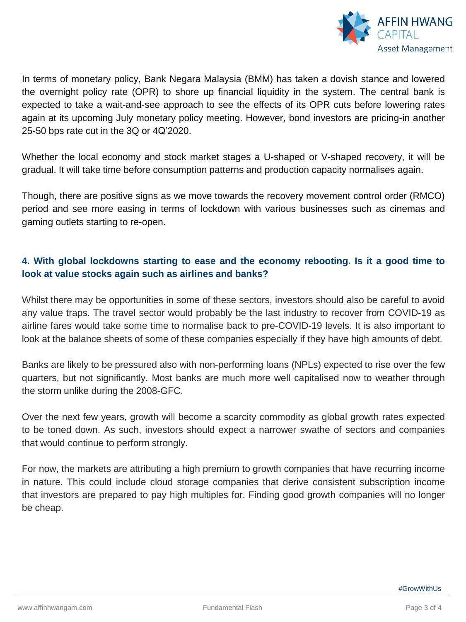

In terms of monetary policy, Bank Negara Malaysia (BMM) has taken a dovish stance and lowered the overnight policy rate (OPR) to shore up financial liquidity in the system. The central bank is expected to take a wait-and-see approach to see the effects of its OPR cuts before lowering rates again at its upcoming July monetary policy meeting. However, bond investors are pricing-in another 25-50 bps rate cut in the 3Q or 4Q'2020.

Whether the local economy and stock market stages a U-shaped or V-shaped recovery, it will be gradual. It will take time before consumption patterns and production capacity normalises again.

Though, there are positive signs as we move towards the recovery movement control order (RMCO) period and see more easing in terms of lockdown with various businesses such as cinemas and gaming outlets starting to re-open.

#### **4. With global lockdowns starting to ease and the economy rebooting. Is it a good time to look at value stocks again such as airlines and banks?**

Whilst there may be opportunities in some of these sectors, investors should also be careful to avoid any value traps. The travel sector would probably be the last industry to recover from COVID-19 as airline fares would take some time to normalise back to pre-COVID-19 levels. It is also important to look at the balance sheets of some of these companies especially if they have high amounts of debt.

Banks are likely to be pressured also with non-performing loans (NPLs) expected to rise over the few quarters, but not significantly. Most banks are much more well capitalised now to weather through the storm unlike during the 2008-GFC.

Over the next few years, growth will become a scarcity commodity as global growth rates expected to be toned down. As such, investors should expect a narrower swathe of sectors and companies that would continue to perform strongly.

For now, the markets are attributing a high premium to growth companies that have recurring income in nature. This could include cloud storage companies that derive consistent subscription income that investors are prepared to pay high multiples for. Finding good growth companies will no longer be cheap.